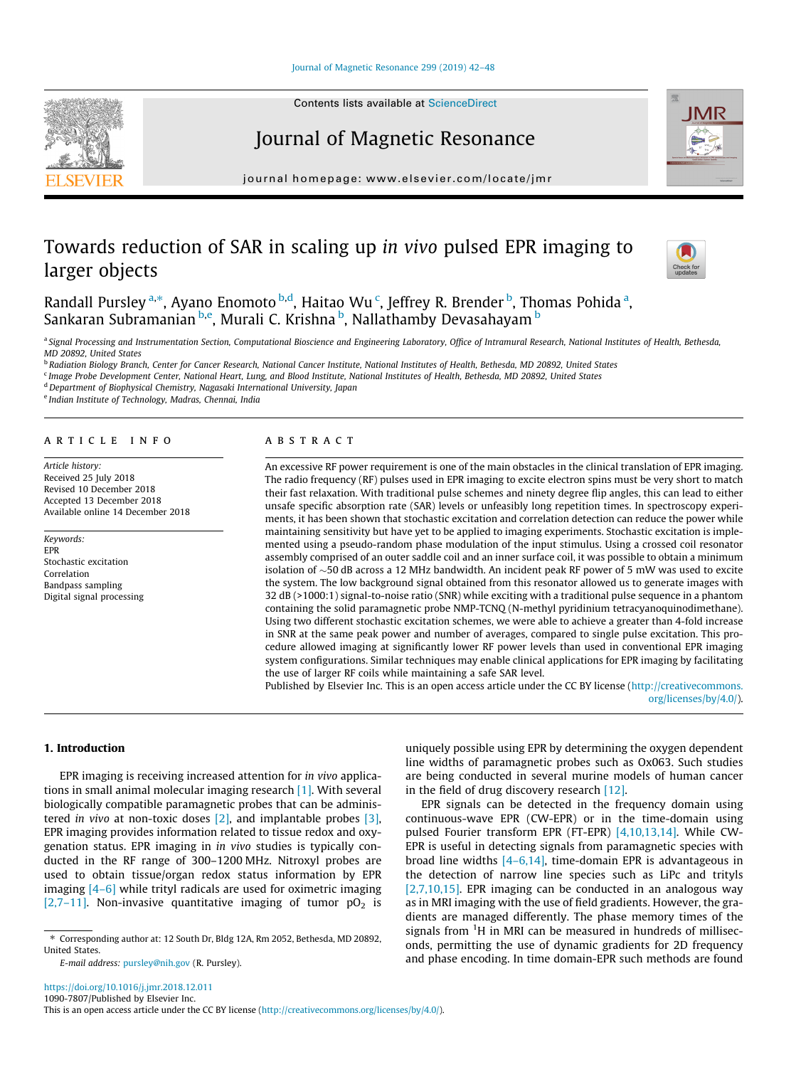## Journal of Magnetic Resonance

journal homepage: [www.elsevier.com/locate/jmr](http://www.elsevier.com/locate/jmr)

# Towards reduction of SAR in scaling up in vivo pulsed EPR imaging to larger objects

Randall Pursley <sup>a,</sup>\*, Ayano Enomoto <sup>b,d</sup>, Haitao Wu <sup>c</sup>, Jeffrey R. Brender <sup>b</sup>, Thomas Pohida <sup>a</sup>, Sankaran Subramanian <sup>b,e</sup>, Murali C. Krishna <sup>b</sup>, Nallathamby Devasahayam <sup>b</sup>

a Signal Processing and Instrumentation Section, Computational Bioscience and Engineering Laboratory, Office of Intramural Research, National Institutes of Health, Bethesda, MD 20892, United States

**b Radiation Biology Branch, Center for Cancer Research, National Cancer Institute, National Institutes of Health, Bethesda, MD 20892, United States** 

<sup>c</sup> Image Probe Development Center, National Heart, Lung, and Blood Institute, National Institutes of Health, Bethesda, MD 20892, United States

<sup>d</sup> Department of Biophysical Chemistry, Nagasaki International University, Japan

<sup>e</sup> Indian Institute of Technology, Madras, Chennai, India

#### article info

Article history: Received 25 July 2018 Revised 10 December 2018 Accepted 13 December 2018 Available online 14 December 2018

Keywords: EPR Stochastic excitation Correlation Bandpass sampling Digital signal processing

## ABSTRACT

An excessive RF power requirement is one of the main obstacles in the clinical translation of EPR imaging. The radio frequency (RF) pulses used in EPR imaging to excite electron spins must be very short to match their fast relaxation. With traditional pulse schemes and ninety degree flip angles, this can lead to either unsafe specific absorption rate (SAR) levels or unfeasibly long repetition times. In spectroscopy experiments, it has been shown that stochastic excitation and correlation detection can reduce the power while maintaining sensitivity but have yet to be applied to imaging experiments. Stochastic excitation is implemented using a pseudo-random phase modulation of the input stimulus. Using a crossed coil resonator assembly comprised of an outer saddle coil and an inner surface coil, it was possible to obtain a minimum isolation of  $\sim$  50 dB across a 12 MHz bandwidth. An incident peak RF power of 5 mW was used to excite the system. The low background signal obtained from this resonator allowed us to generate images with 32 dB (>1000:1) signal-to-noise ratio (SNR) while exciting with a traditional pulse sequence in a phantom containing the solid paramagnetic probe NMP-TCNQ (N-methyl pyridinium tetracyanoquinodimethane). Using two different stochastic excitation schemes, we were able to achieve a greater than 4-fold increase in SNR at the same peak power and number of averages, compared to single pulse excitation. This procedure allowed imaging at significantly lower RF power levels than used in conventional EPR imaging system configurations. Similar techniques may enable clinical applications for EPR imaging by facilitating the use of larger RF coils while maintaining a safe SAR level.

Published by Elsevier Inc. This is an open access article under the CC BY license ([http://creativecommons.](http://creativecommons.org/licenses/by/4.0/) [org/licenses/by/4.0/](http://creativecommons.org/licenses/by/4.0/)).

1. Introduction

EPR imaging is receiving increased attention for in vivo applications in small animal molecular imaging research [\[1\].](#page-5-0) With several biologically compatible paramagnetic probes that can be administered in vivo at non-toxic doses [\[2\],](#page-5-0) and implantable probes [\[3\],](#page-6-0) EPR imaging provides information related to tissue redox and oxygenation status. EPR imaging in in vivo studies is typically conducted in the RF range of 300–1200 MHz. Nitroxyl probes are used to obtain tissue/organ redox status information by EPR imaging [\[4–6\]](#page-6-0) while trityl radicals are used for oximetric imaging [\[2,7–11\]](#page-5-0). Non-invasive quantitative imaging of tumor  $pO<sub>2</sub>$  is



uniquely possible using EPR by determining the oxygen dependent

pulsed Fourier transform EPR (FT-EPR) [\[4,10,13,14\]](#page-6-0). While CW-EPR is useful in detecting signals from paramagnetic species with broad line widths  $[4-6,14]$ , time-domain EPR is advantageous in the detection of narrow line species such as LiPc and trityls [\[2,7,10,15\].](#page-5-0) EPR imaging can be conducted in an analogous way as in MRI imaging with the use of field gradients. However, the gradients are managed differently. The phase memory times of the signals from <sup>1</sup>H in MRI can be measured in hundreds of milliseconds, permitting the use of dynamic gradients for 2D frequency and phase encoding. In time domain-EPR such methods are found







<sup>⇑</sup> Corresponding author at: 12 South Dr, Bldg 12A, Rm 2052, Bethesda, MD 20892, United States.

E-mail address: [pursley@nih.gov](mailto:pursley@nih.gov) (R. Pursley).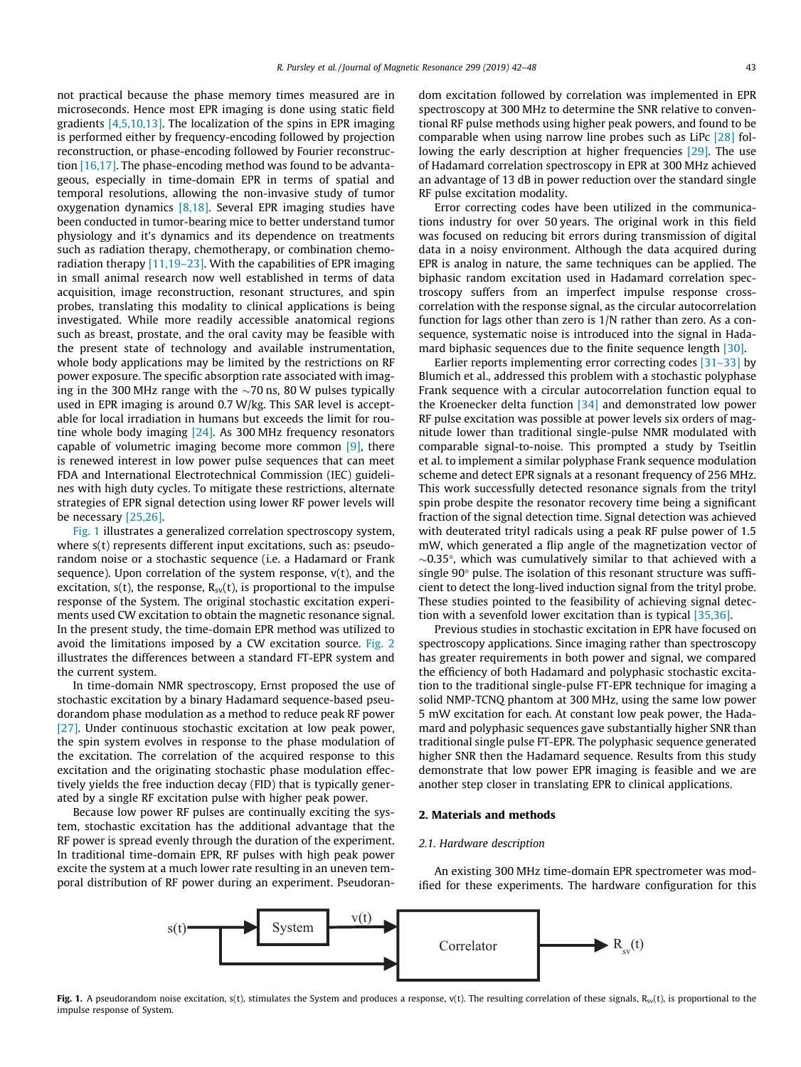not practical because the phase memory times measured are in microseconds. Hence most EPR imaging is done using static field gradients [\[4,5,10,13\].](#page-6-0) The localization of the spins in EPR imaging is performed either by frequency-encoding followed by projection reconstruction, or phase-encoding followed by Fourier reconstruction [\[16,17\]](#page-6-0). The phase-encoding method was found to be advantageous, especially in time-domain EPR in terms of spatial and temporal resolutions, allowing the non-invasive study of tumor oxygenation dynamics  $[8,18]$ . Several EPR imaging studies have been conducted in tumor-bearing mice to better understand tumor physiology and it's dynamics and its dependence on treatments such as radiation therapy, chemotherapy, or combination chemoradiation therapy [\[11,19–23\].](#page-6-0) With the capabilities of EPR imaging in small animal research now well established in terms of data acquisition, image reconstruction, resonant structures, and spin probes, translating this modality to clinical applications is being investigated. While more readily accessible anatomical regions such as breast, prostate, and the oral cavity may be feasible with the present state of technology and available instrumentation, whole body applications may be limited by the restrictions on RF power exposure. The specific absorption rate associated with imaging in the 300 MHz range with the  $\sim$ 70 ns, 80 W pulses typically used in EPR imaging is around 0.7 W/kg. This SAR level is acceptable for local irradiation in humans but exceeds the limit for routine whole body imaging [\[24\]](#page-6-0). As 300 MHz frequency resonators capable of volumetric imaging become more common  $[9]$ , there is renewed interest in low power pulse sequences that can meet FDA and International Electrotechnical Commission (IEC) guidelines with high duty cycles. To mitigate these restrictions, alternate strategies of EPR signal detection using lower RF power levels will be necessary [\[25,26\]](#page-6-0).

Fig. 1 illustrates a generalized correlation spectroscopy system, where s(t) represents different input excitations, such as: pseudorandom noise or a stochastic sequence (i.e. a Hadamard or Frank sequence). Upon correlation of the system response, v(t), and the excitation,  $s(t)$ , the response,  $R_{sv}(t)$ , is proportional to the impulse response of the System. The original stochastic excitation experiments used CW excitation to obtain the magnetic resonance signal. In the present study, the time-domain EPR method was utilized to avoid the limitations imposed by a CW excitation source. [Fig. 2](#page-2-0) illustrates the differences between a standard FT-EPR system and the current system.

In time-domain NMR spectroscopy, Ernst proposed the use of stochastic excitation by a binary Hadamard sequence-based pseudorandom phase modulation as a method to reduce peak RF power [\[27\].](#page-6-0) Under continuous stochastic excitation at low peak power, the spin system evolves in response to the phase modulation of the excitation. The correlation of the acquired response to this excitation and the originating stochastic phase modulation effectively yields the free induction decay (FID) that is typically generated by a single RF excitation pulse with higher peak power.

Because low power RF pulses are continually exciting the system, stochastic excitation has the additional advantage that the RF power is spread evenly through the duration of the experiment. In traditional time-domain EPR, RF pulses with high peak power excite the system at a much lower rate resulting in an uneven temporal distribution of RF power during an experiment. Pseudorandom excitation followed by correlation was implemented in EPR spectroscopy at 300 MHz to determine the SNR relative to conventional RF pulse methods using higher peak powers, and found to be comparable when using narrow line probes such as LiPc [\[28\]](#page-6-0) following the early description at higher frequencies [\[29\].](#page-6-0) The use of Hadamard correlation spectroscopy in EPR at 300 MHz achieved an advantage of 13 dB in power reduction over the standard single RF pulse excitation modality.

Error correcting codes have been utilized in the communications industry for over 50 years. The original work in this field was focused on reducing bit errors during transmission of digital data in a noisy environment. Although the data acquired during EPR is analog in nature, the same techniques can be applied. The biphasic random excitation used in Hadamard correlation spectroscopy suffers from an imperfect impulse response crosscorrelation with the response signal, as the circular autocorrelation function for lags other than zero is 1/N rather than zero. As a consequence, systematic noise is introduced into the signal in Hada-mard biphasic sequences due to the finite sequence length [\[30\].](#page-6-0)

Earlier reports implementing error correcting codes [\[31–33\]](#page-6-0) by Blumich et al., addressed this problem with a stochastic polyphase Frank sequence with a circular autocorrelation function equal to the Kroenecker delta function [\[34\]](#page-6-0) and demonstrated low power RF pulse excitation was possible at power levels six orders of magnitude lower than traditional single-pulse NMR modulated with comparable signal-to-noise. This prompted a study by Tseitlin et al. to implement a similar polyphase Frank sequence modulation scheme and detect EPR signals at a resonant frequency of 256 MHz. This work successfully detected resonance signals from the trityl spin probe despite the resonator recovery time being a significant fraction of the signal detection time. Signal detection was achieved with deuterated trityl radicals using a peak RF pulse power of 1.5 mW, which generated a flip angle of the magnetization vector of  $\sim$ 0.35°, which was cumulatively similar to that achieved with a single  $90^\circ$  pulse. The isolation of this resonant structure was sufficient to detect the long-lived induction signal from the trityl probe. These studies pointed to the feasibility of achieving signal detection with a sevenfold lower excitation than is typical [\[35,36\]](#page-6-0).

Previous studies in stochastic excitation in EPR have focused on spectroscopy applications. Since imaging rather than spectroscopy has greater requirements in both power and signal, we compared the efficiency of both Hadamard and polyphasic stochastic excitation to the traditional single-pulse FT-EPR technique for imaging a solid NMP-TCNQ phantom at 300 MHz, using the same low power 5 mW excitation for each. At constant low peak power, the Hadamard and polyphasic sequences gave substantially higher SNR than traditional single pulse FT-EPR. The polyphasic sequence generated higher SNR then the Hadamard sequence. Results from this study demonstrate that low power EPR imaging is feasible and we are another step closer in translating EPR to clinical applications.

#### 2. Materials and methods

#### 2.1. Hardware description

An existing 300 MHz time-domain EPR spectrometer was modified for these experiments. The hardware configuration for this

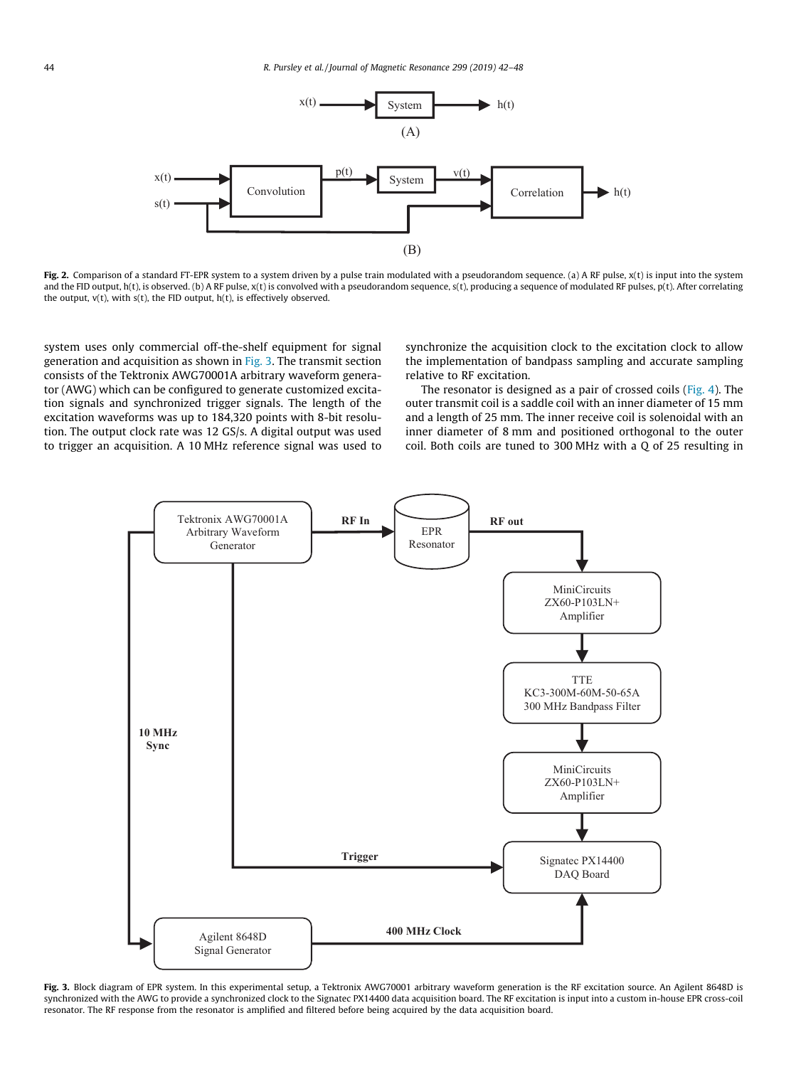<span id="page-2-0"></span>

Fig. 2. Comparison of a standard FT-EPR system to a system driven by a pulse train modulated with a pseudorandom sequence. (a) A RF pulse,  $x(t)$  is input into the system and the FID output, h(t), is observed. (b) A RF pulse, x(t) is convolved with a pseudorandom sequence, s(t), producing a sequence of modulated RF pulses, p(t). After correlating the output,  $v(t)$ , with  $s(t)$ , the FID output,  $h(t)$ , is effectively observed.

system uses only commercial off-the-shelf equipment for signal generation and acquisition as shown in Fig. 3. The transmit section consists of the Tektronix AWG70001A arbitrary waveform generator (AWG) which can be configured to generate customized excitation signals and synchronized trigger signals. The length of the excitation waveforms was up to 184,320 points with 8-bit resolution. The output clock rate was 12 GS/s. A digital output was used to trigger an acquisition. A 10 MHz reference signal was used to synchronize the acquisition clock to the excitation clock to allow the implementation of bandpass sampling and accurate sampling relative to RF excitation.

The resonator is designed as a pair of crossed coils [\(Fig. 4](#page-3-0)). The outer transmit coil is a saddle coil with an inner diameter of 15 mm and a length of 25 mm. The inner receive coil is solenoidal with an inner diameter of 8 mm and positioned orthogonal to the outer coil. Both coils are tuned to 300 MHz with a Q of 25 resulting in



Fig. 3. Block diagram of EPR system. In this experimental setup, a Tektronix AWG70001 arbitrary waveform generation is the RF excitation source. An Agilent 8648D is synchronized with the AWG to provide a synchronized clock to the Signatec PX14400 data acquisition board. The RF excitation is input into a custom in-house EPR cross-coil resonator. The RF response from the resonator is amplified and filtered before being acquired by the data acquisition board.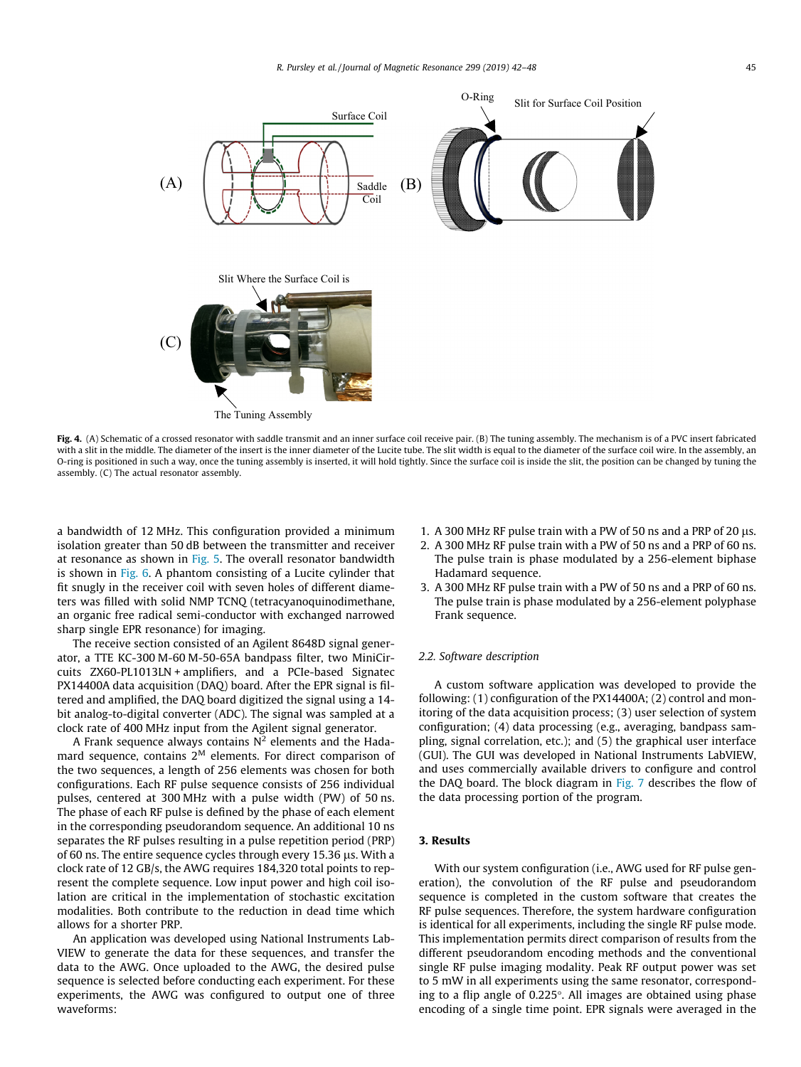<span id="page-3-0"></span>

Fig. 4. (A) Schematic of a crossed resonator with saddle transmit and an inner surface coil receive pair. (B) The tuning assembly. The mechanism is of a PVC insert fabricated with a slit in the middle. The diameter of the insert is the inner diameter of the Lucite tube. The slit width is equal to the diameter of the surface coil wire. In the assembly, an O-ring is positioned in such a way, once the tuning assembly is inserted, it will hold tightly. Since the surface coil is inside the slit, the position can be changed by tuning the assembly. (C) The actual resonator assembly.

a bandwidth of 12 MHz. This configuration provided a minimum isolation greater than 50 dB between the transmitter and receiver at resonance as shown in [Fig. 5](#page-4-0). The overall resonator bandwidth is shown in [Fig. 6](#page-4-0). A phantom consisting of a Lucite cylinder that fit snugly in the receiver coil with seven holes of different diameters was filled with solid NMP TCNQ (tetracyanoquinodimethane, an organic free radical semi-conductor with exchanged narrowed sharp single EPR resonance) for imaging.

The receive section consisted of an Agilent 8648D signal generator, a TTE KC-300 M-60 M-50-65A bandpass filter, two MiniCircuits ZX60-PL1013LN + amplifiers, and a PCIe-based Signatec PX14400A data acquisition (DAQ) board. After the EPR signal is filtered and amplified, the DAQ board digitized the signal using a 14 bit analog-to-digital converter (ADC). The signal was sampled at a clock rate of 400 MHz input from the Agilent signal generator.

A Frank sequence always contains  $N^2$  elements and the Hadamard sequence, contains  $2^M$  elements. For direct comparison of the two sequences, a length of 256 elements was chosen for both configurations. Each RF pulse sequence consists of 256 individual pulses, centered at 300 MHz with a pulse width (PW) of 50 ns. The phase of each RF pulse is defined by the phase of each element in the corresponding pseudorandom sequence. An additional 10 ns separates the RF pulses resulting in a pulse repetition period (PRP) of 60 ns. The entire sequence cycles through every 15.36  $\mu$ s. With a clock rate of 12 GB/s, the AWG requires 184,320 total points to represent the complete sequence. Low input power and high coil isolation are critical in the implementation of stochastic excitation modalities. Both contribute to the reduction in dead time which allows for a shorter PRP.

An application was developed using National Instruments Lab-VIEW to generate the data for these sequences, and transfer the data to the AWG. Once uploaded to the AWG, the desired pulse sequence is selected before conducting each experiment. For these experiments, the AWG was configured to output one of three waveforms:

- 1. A 300 MHz RF pulse train with a PW of 50 ns and a PRP of 20  $\mu$ s.
- 2. A 300 MHz RF pulse train with a PW of 50 ns and a PRP of 60 ns. The pulse train is phase modulated by a 256-element biphase Hadamard sequence.
- 3. A 300 MHz RF pulse train with a PW of 50 ns and a PRP of 60 ns. The pulse train is phase modulated by a 256-element polyphase Frank sequence.

#### 2.2. Software description

A custom software application was developed to provide the following: (1) configuration of the PX14400A; (2) control and monitoring of the data acquisition process; (3) user selection of system configuration; (4) data processing (e.g., averaging, bandpass sampling, signal correlation, etc.); and (5) the graphical user interface (GUI). The GUI was developed in National Instruments LabVIEW, and uses commercially available drivers to configure and control the DAQ board. The block diagram in [Fig. 7](#page-5-0) describes the flow of the data processing portion of the program.

## 3. Results

With our system configuration (i.e., AWG used for RF pulse generation), the convolution of the RF pulse and pseudorandom sequence is completed in the custom software that creates the RF pulse sequences. Therefore, the system hardware configuration is identical for all experiments, including the single RF pulse mode. This implementation permits direct comparison of results from the different pseudorandom encoding methods and the conventional single RF pulse imaging modality. Peak RF output power was set to 5 mW in all experiments using the same resonator, corresponding to a flip angle of  $0.225^{\circ}$ . All images are obtained using phase encoding of a single time point. EPR signals were averaged in the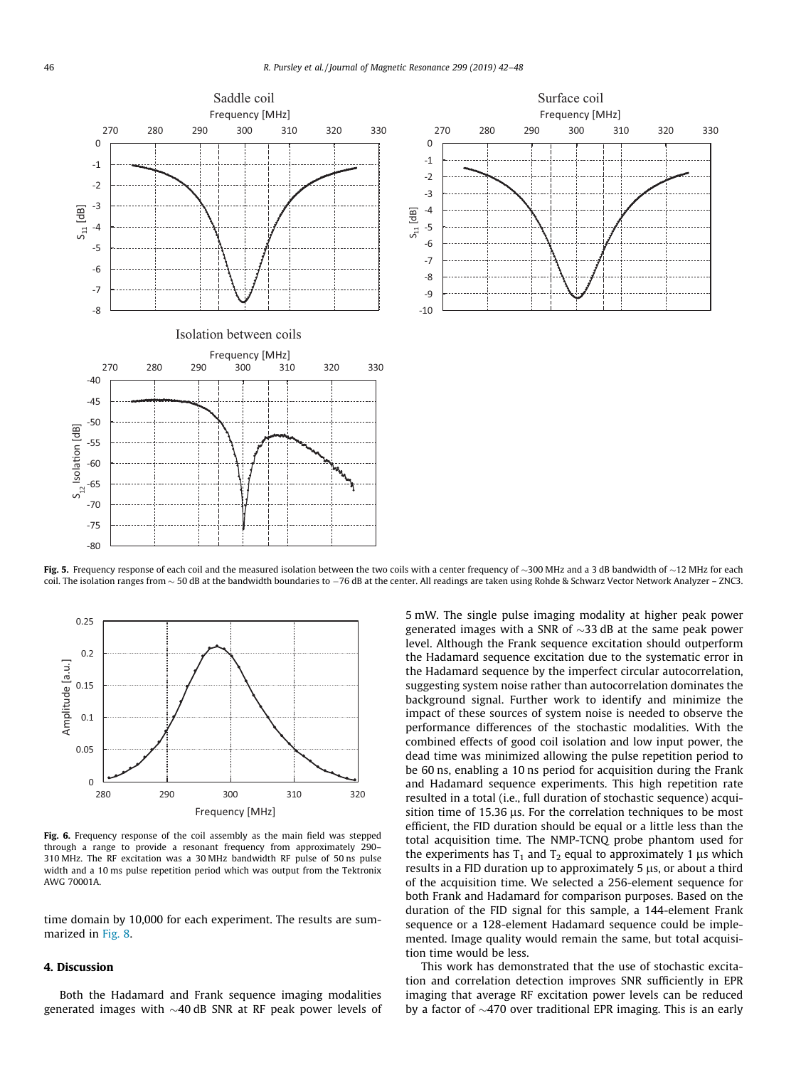<span id="page-4-0"></span>

Fig. 5. Frequency response of each coil and the measured isolation between the two coils with a center frequency of  $\sim$ 300 MHz and a 3 dB bandwidth of  $\sim$ 12 MHz for each coil. The isolation ranges from ~ 50 dB at the bandwidth boundaries to -76 dB at the center. All readings are taken using Rohde & Schwarz Vector Network Analyzer - ZNC3.



Fig. 6. Frequency response of the coil assembly as the main field was stepped through a range to provide a resonant frequency from approximately 290– 310 MHz. The RF excitation was a 30 MHz bandwidth RF pulse of 50 ns pulse width and a 10 ms pulse repetition period which was output from the Tektronix AWG 70001A.

time domain by 10,000 for each experiment. The results are summarized in [Fig. 8.](#page-5-0)

### 4. Discussion

Both the Hadamard and Frank sequence imaging modalities generated images with  $\sim$ 40 dB SNR at RF peak power levels of 5 mW. The single pulse imaging modality at higher peak power generated images with a SNR of  $\sim$ 33 dB at the same peak power level. Although the Frank sequence excitation should outperform the Hadamard sequence excitation due to the systematic error in the Hadamard sequence by the imperfect circular autocorrelation, suggesting system noise rather than autocorrelation dominates the background signal. Further work to identify and minimize the impact of these sources of system noise is needed to observe the performance differences of the stochastic modalities. With the combined effects of good coil isolation and low input power, the dead time was minimized allowing the pulse repetition period to be 60 ns, enabling a 10 ns period for acquisition during the Frank and Hadamard sequence experiments. This high repetition rate resulted in a total (i.e., full duration of stochastic sequence) acquisition time of 15.36  $\mu$ s. For the correlation techniques to be most efficient, the FID duration should be equal or a little less than the total acquisition time. The NMP-TCNQ probe phantom used for the experiments has  $T_1$  and  $T_2$  equal to approximately 1  $\mu$ s which results in a FID duration up to approximately  $5 \mu s$ , or about a third of the acquisition time. We selected a 256-element sequence for both Frank and Hadamard for comparison purposes. Based on the duration of the FID signal for this sample, a 144-element Frank sequence or a 128-element Hadamard sequence could be implemented. Image quality would remain the same, but total acquisition time would be less.

This work has demonstrated that the use of stochastic excitation and correlation detection improves SNR sufficiently in EPR imaging that average RF excitation power levels can be reduced by a factor of  $\sim$ 470 over traditional EPR imaging. This is an early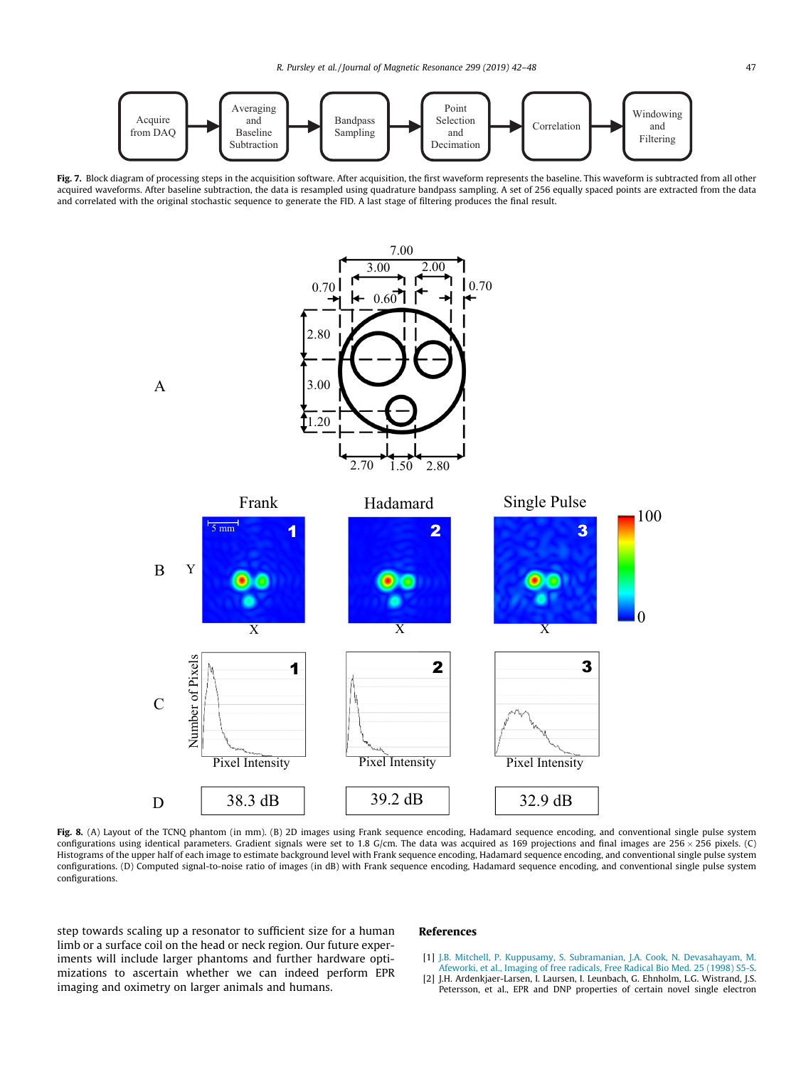<span id="page-5-0"></span>

Fig. 7. Block diagram of processing steps in the acquisition software. After acquisition, the first waveform represents the baseline. This waveform is subtracted from all other acquired waveforms. After baseline subtraction, the data is resampled using quadrature bandpass sampling. A set of 256 equally spaced points are extracted from the data and correlated with the original stochastic sequence to generate the FID. A last stage of filtering produces the final result.



Fig. 8. (A) Layout of the TCNQ phantom (in mm). (B) 2D images using Frank sequence encoding, Hadamard sequence encoding, and conventional single pulse system configurations using identical parameters. Gradient signals were set to 1.8 G/cm. The data was acquired as 169 projections and final images are 256  $\times$  256 pixels. (C) Histograms of the upper half of each image to estimate background level with Frank sequence encoding, Hadamard sequence encoding, and conventional single pulse system configurations. (D) Computed signal-to-noise ratio of images (in dB) with Frank sequence encoding, Hadamard sequence encoding, and conventional single pulse system configurations.

step towards scaling up a resonator to sufficient size for a human limb or a surface coil on the head or neck region. Our future experiments will include larger phantoms and further hardware optimizations to ascertain whether we can indeed perform EPR imaging and oximetry on larger animals and humans.

#### References

- [1] [J.B. Mitchell, P. Kuppusamy, S. Subramanian, J.A. Cook, N. Devasahayam, M.](http://refhub.elsevier.com/S1090-7807(18)30335-5/h0005) [Afeworki, et al., Imaging of free radicals, Free Radical Bio Med. 25 \(1998\) S5-S.](http://refhub.elsevier.com/S1090-7807(18)30335-5/h0005)
- [2] J.H. Ardenkjaer-Larsen, I. Laursen, I. Leunbach, G. Ehnholm, L.G. Wistrand, J.S. Petersson, et al., EPR and DNP properties of certain novel single electron